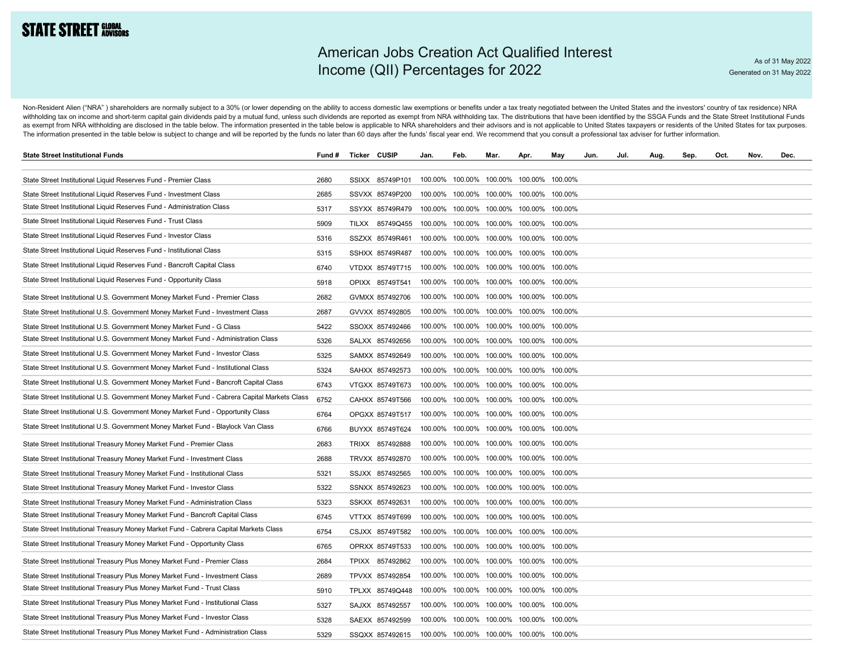## **STATE STREET GLOBAL**

## American Jobs Creation Act Qualified Interest Income (QII) Percentages for 2022

Non-Resident Alien ("NRA") shareholders are normally subject to a 30% (or lower depending on the ability to access domestic law exemptions or benefits under a tax treaty negotiated between the United States and the investo withholding tax on income and short-term capital gain dividends paid by a mutual fund, unless such dividends are reported as exempt from NRA withholding tax. The distributions that have been identified by the SSGA Funds an as exempt from NRA withholding are disclosed in the table below. The information presented in the table below is applicable to NRA shareholders and their advisors and is not applicable to United States taxpayers or residen The information presented in the table below is subject to change and will be reported by the funds no later than 60 days after the funds' fiscal year end. We recommend that you consult a professional tax adviser for furth

| <b>State Street Institutional Funds</b>                                                      | Fund # | <b>Ticker CUSIP</b> | Jan.    | Feb. | Mar. | Apr.                                    | May     | Jun. | Jul. | Aug. | Sep. | Oct. | Nov. | Dec. |
|----------------------------------------------------------------------------------------------|--------|---------------------|---------|------|------|-----------------------------------------|---------|------|------|------|------|------|------|------|
|                                                                                              |        |                     |         |      |      |                                         |         |      |      |      |      |      |      |      |
| State Street Institutional Liquid Reserves Fund - Premier Class                              | 2680   | SSIXX 85749P101     |         |      |      | 100.00% 100.00% 100.00% 100.00% 100.00% |         |      |      |      |      |      |      |      |
| State Street Institutional Liquid Reserves Fund - Investment Class                           | 2685   | SSVXX 85749P200     | 100.00% |      |      | 100.00% 100.00% 100.00% 100.00%         |         |      |      |      |      |      |      |      |
| State Street Institutional Liquid Reserves Fund - Administration Class                       | 5317   | SSYXX 85749R479     |         |      |      | 100.00% 100.00% 100.00% 100.00% 100.00% |         |      |      |      |      |      |      |      |
| State Street Institutional Liquid Reserves Fund - Trust Class                                | 5909   | TILXX 85749Q455     |         |      |      | 100.00% 100.00% 100.00% 100.00% 100.00% |         |      |      |      |      |      |      |      |
| State Street Institutional Liquid Reserves Fund - Investor Class                             | 5316   | SSZXX 85749R461     |         |      |      | 100.00% 100.00% 100.00% 100.00% 100.00% |         |      |      |      |      |      |      |      |
| State Street Institutional Liquid Reserves Fund - Institutional Class                        | 5315   | SSHXX 85749R487     |         |      |      | 100.00% 100.00% 100.00% 100.00% 100.00% |         |      |      |      |      |      |      |      |
| State Street Institutional Liquid Reserves Fund - Bancroft Capital Class                     | 6740   | VTDXX 85749T715     |         |      |      | 100.00% 100.00% 100.00% 100.00% 100.00% |         |      |      |      |      |      |      |      |
| State Street Institutional Liquid Reserves Fund - Opportunity Class                          | 5918   | OPIXX 85749T541     |         |      |      | 100.00% 100.00% 100.00% 100.00% 100.00% |         |      |      |      |      |      |      |      |
| State Street Institutional U.S. Government Money Market Fund - Premier Class                 | 2682   | GVMXX 857492706     |         |      |      | 100.00% 100.00% 100.00% 100.00% 100.00% |         |      |      |      |      |      |      |      |
| State Street Institutional U.S. Government Money Market Fund - Investment Class              | 2687   | GVVXX 857492805     |         |      |      | 100.00% 100.00% 100.00% 100.00% 100.00% |         |      |      |      |      |      |      |      |
| State Street Institutional U.S. Government Money Market Fund - G Class                       | 5422   | SSOXX 857492466     |         |      |      | 100.00% 100.00% 100.00% 100.00% 100.00% |         |      |      |      |      |      |      |      |
| State Street Institutional U.S. Government Money Market Fund - Administration Class          | 5326   | SALXX 857492656     |         |      |      | 100.00% 100.00% 100.00% 100.00% 100.00% |         |      |      |      |      |      |      |      |
| State Street Institutional U.S. Government Money Market Fund - Investor Class                | 5325   | SAMXX 857492649     |         |      |      | 100.00% 100.00% 100.00% 100.00% 100.00% |         |      |      |      |      |      |      |      |
| State Street Institutional U.S. Government Money Market Fund - Institutional Class           | 5324   | SAHXX 857492573     |         |      |      | 100.00% 100.00% 100.00% 100.00% 100.00% |         |      |      |      |      |      |      |      |
| State Street Institutional U.S. Government Money Market Fund - Bancroft Capital Class        | 6743   | VTGXX 85749T673     |         |      |      | 100.00% 100.00% 100.00% 100.00% 100.00% |         |      |      |      |      |      |      |      |
| State Street Institutional U.S. Government Money Market Fund - Cabrera Capital Markets Class | 6752   | CAHXX 85749T566     |         |      |      | 100.00% 100.00% 100.00% 100.00% 100.00% |         |      |      |      |      |      |      |      |
| State Street Institutional U.S. Government Money Market Fund - Opportunity Class             | 6764   | OPGXX 85749T517     |         |      |      | 100.00% 100.00% 100.00% 100.00% 100.00% |         |      |      |      |      |      |      |      |
| State Street Institutional U.S. Government Money Market Fund - Blaylock Van Class            | 6766   | BUYXX 85749T624     |         |      |      | 100.00% 100.00% 100.00% 100.00% 100.00% |         |      |      |      |      |      |      |      |
| State Street Institutional Treasury Money Market Fund - Premier Class                        | 2683   | TRIXX 857492888     |         |      |      | 100.00% 100.00% 100.00% 100.00%         | 100.00% |      |      |      |      |      |      |      |
| State Street Institutional Treasury Money Market Fund - Investment Class                     | 2688   | TRVXX 857492870     |         |      |      | 100.00% 100.00% 100.00% 100.00% 100.00% |         |      |      |      |      |      |      |      |
| State Street Institutional Treasury Money Market Fund - Institutional Class                  | 5321   | SSJXX 857492565     |         |      |      | 100.00% 100.00% 100.00% 100.00% 100.00% |         |      |      |      |      |      |      |      |
| State Street Institutional Treasury Money Market Fund - Investor Class                       | 5322   | SSNXX 857492623     |         |      |      | 100.00% 100.00% 100.00% 100.00% 100.00% |         |      |      |      |      |      |      |      |
| State Street Institutional Treasury Money Market Fund - Administration Class                 | 5323   | SSKXX 857492631     |         |      |      | 100.00% 100.00% 100.00% 100.00% 100.00% |         |      |      |      |      |      |      |      |
| State Street Institutional Treasury Money Market Fund - Bancroft Capital Class               | 6745   | VTTXX 85749T699     | 100.00% |      |      | 100.00% 100.00% 100.00% 100.00%         |         |      |      |      |      |      |      |      |
| State Street Institutional Treasury Money Market Fund - Cabrera Capital Markets Class        | 6754   | CSJXX 85749T582     | 100.00% |      |      | 100.00% 100.00% 100.00% 100.00%         |         |      |      |      |      |      |      |      |
| State Street Institutional Treasury Money Market Fund - Opportunity Class                    | 6765   | OPRXX 85749T533     |         |      |      | 100.00% 100.00% 100.00% 100.00% 100.00% |         |      |      |      |      |      |      |      |
| State Street Institutional Treasury Plus Money Market Fund - Premier Class                   | 2684   | TPIXX 857492862     | 100.00% |      |      | 100.00% 100.00% 100.00% 100.00%         |         |      |      |      |      |      |      |      |
| State Street Institutional Treasury Plus Money Market Fund - Investment Class                | 2689   | TPVXX 857492854     | 100.00% |      |      | 100.00% 100.00% 100.00% 100.00%         |         |      |      |      |      |      |      |      |
| State Street Institutional Treasury Plus Money Market Fund - Trust Class                     | 5910   | TPLXX 85749Q448     | 100.00% |      |      | 100.00% 100.00% 100.00% 100.00%         |         |      |      |      |      |      |      |      |
| State Street Institutional Treasury Plus Money Market Fund - Institutional Class             | 5327   | SAJXX 857492557     |         |      |      | 100.00% 100.00% 100.00% 100.00% 100.00% |         |      |      |      |      |      |      |      |
| State Street Institutional Treasury Plus Money Market Fund - Investor Class                  | 5328   | SAEXX 857492599     | 100.00% |      |      | 100.00% 100.00% 100.00% 100.00%         |         |      |      |      |      |      |      |      |
| State Street Institutional Treasury Plus Money Market Fund - Administration Class            | 5329   | SSQXX 857492615     |         |      |      | 100.00% 100.00% 100.00% 100.00% 100.00% |         |      |      |      |      |      |      |      |